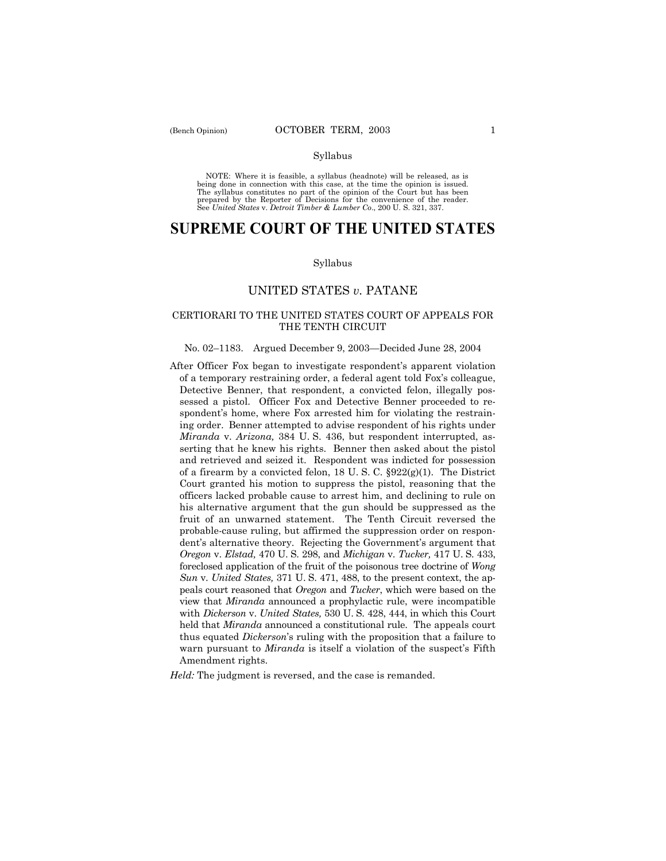NOTE: Where it is feasible, a syllabus (headnote) will be released, as is being done in connection with this case, at the time the opinion is issued. The syllabus constitutes no part of the opinion of the Court but has been<br>prepared by the Reporter of Decisions for the convenience of the reader.<br>See United States v. Detroit Timber & Lumber Co., 200 U. S. 321, 337.

# **SUPREME COURT OF THE UNITED STATES**

#### Syllabus

# UNITED STATES *v.* PATANE

# CERTIORARI TO THE UNITED STATES COURT OF APPEALS FOR THE TENTH CIRCUIT

## No. 02–1183. Argued December 9, 2003–Decided June 28, 2004

After Officer Fox began to investigate respondentís apparent violation of a temporary restraining order, a federal agent told Foxís colleague, Detective Benner, that respondent, a convicted felon, illegally possessed a pistol. Officer Fox and Detective Benner proceeded to respondent's home, where Fox arrested him for violating the restraining order. Benner attempted to advise respondent of his rights under *Miranda* v. *Arizona,* 384 U. S. 436, but respondent interrupted, asserting that he knew his rights. Benner then asked about the pistol and retrieved and seized it. Respondent was indicted for possession of a firearm by a convicted felon, 18 U.S.C.  $\S 922(g)(1)$ . The District Court granted his motion to suppress the pistol, reasoning that the officers lacked probable cause to arrest him, and declining to rule on his alternative argument that the gun should be suppressed as the fruit of an unwarned statement. The Tenth Circuit reversed the probable-cause ruling, but affirmed the suppression order on respondent's alternative theory. Rejecting the Government's argument that *Oregon* v. *Elstad,* 470 U. S. 298, and *Michigan* v. *Tucker,* 417 U. S. 433, foreclosed application of the fruit of the poisonous tree doctrine of *Wong Sun* v. *United States,* 371 U. S. 471, 488, to the present context, the appeals court reasoned that *Oregon* and *Tucker*, which were based on the view that *Miranda* announced a prophylactic rule, were incompatible with *Dickerson* v. *United States,* 530 U. S. 428, 444, in which this Court held that *Miranda* announced a constitutional rule. The appeals court thus equated *Dickerson*ís ruling with the proposition that a failure to warn pursuant to *Miranda* is itself a violation of the suspect's Fifth Amendment rights.

*Held:* The judgment is reversed, and the case is remanded.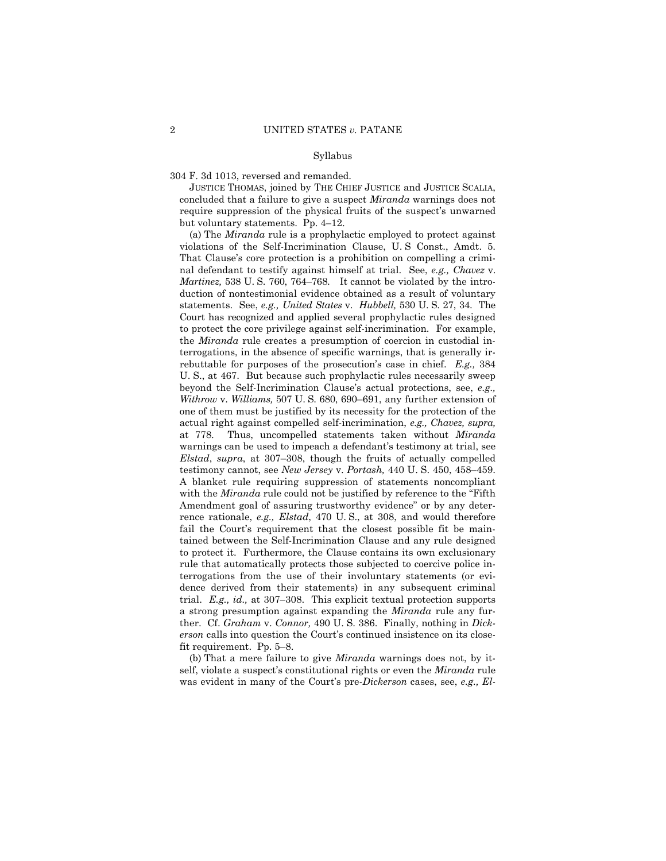304 F. 3d 1013, reversed and remanded.

JUSTICE THOMAS, joined by THE CHIEF JUSTICE and JUSTICE SCALIA, concluded that a failure to give a suspect *Miranda* warnings does not require suppression of the physical fruits of the suspect's unwarned but voluntary statements. Pp.  $4-12$ .

(a) The *Miranda* rule is a prophylactic employed to protect against violations of the Self-Incrimination Clause, U. S Const., Amdt. 5. That Clause's core protection is a prohibition on compelling a criminal defendant to testify against himself at trial. See, *e.g., Chavez* v. *Martinez*, 538 U.S. 760, 764–768. It cannot be violated by the introduction of nontestimonial evidence obtained as a result of voluntary statements. See, *e.g., United States* v. *Hubbell,* 530 U. S. 27, 34. The Court has recognized and applied several prophylactic rules designed to protect the core privilege against self-incrimination. For example, the *Miranda* rule creates a presumption of coercion in custodial interrogations, in the absence of specific warnings, that is generally irrebuttable for purposes of the prosecution's case in chief. *E.g.*, 384 U. S., at 467. But because such prophylactic rules necessarily sweep beyond the Self-Incrimination Clauseís actual protections, see, *e.g., Withrow* v. *Williams*, 507 U. S. 680, 690–691, any further extension of one of them must be justified by its necessity for the protection of the actual right against compelled self-incrimination, *e.g., Chavez, supra,* at 778. Thus, uncompelled statements taken without *Miranda* warnings can be used to impeach a defendant's testimony at trial, see *Elstad, supra, at 307-308, though the fruits of actually compelled* testimony cannot, see *New Jersey* v. *Portash*, 440 U.S. 450, 458–459. A blanket rule requiring suppression of statements noncompliant with the *Miranda* rule could not be justified by reference to the "Fifth" Amendment goal of assuring trustworthy evidence" or by any deterrence rationale, *e.g., Elstad*, 470 U. S., at 308, and would therefore fail the Court's requirement that the closest possible fit be maintained between the Self-Incrimination Clause and any rule designed to protect it. Furthermore, the Clause contains its own exclusionary rule that automatically protects those subjected to coercive police interrogations from the use of their involuntary statements (or evidence derived from their statements) in any subsequent criminal trial. *E.g., id.*, at 307–308. This explicit textual protection supports a strong presumption against expanding the *Miranda* rule any further. Cf. *Graham* v. *Connor,* 490 U. S. 386. Finally, nothing in *Dickerson* calls into question the Court's continued insistence on its closefit requirement. Pp.  $5-8$ .

(b) That a mere failure to give *Miranda* warnings does not, by itself, violate a suspect's constitutional rights or even the *Miranda* rule was evident in many of the Court's pre-*Dickerson* cases, see, *e.g., El-*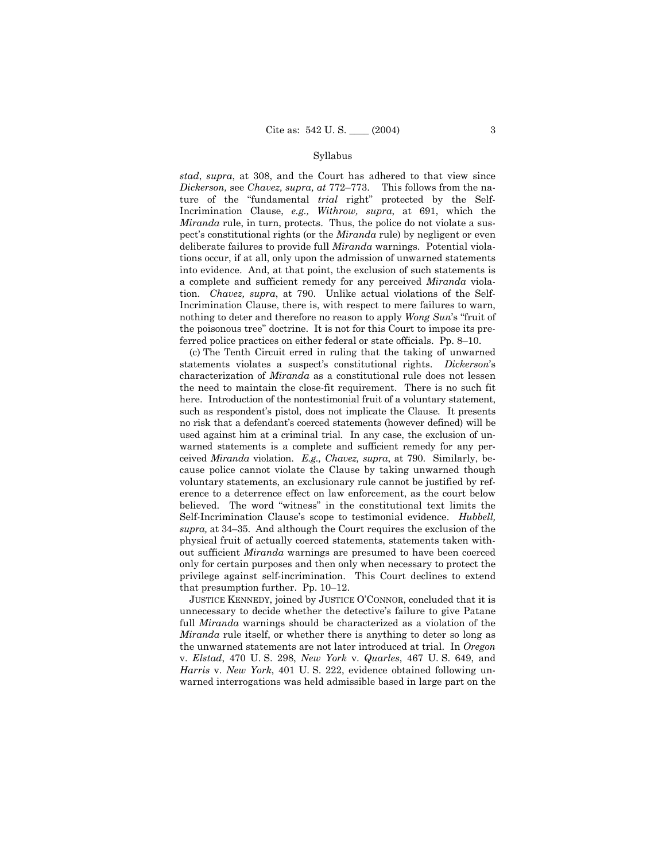*stad*, *supra*, at 308, and the Court has adhered to that view since *Dickerson, see Chavez, supra, at*  $772-773$ . This follows from the nature of the "fundamental *trial* right" protected by the Self-Incrimination Clause, *e.g., Withrow, supra*, at 691, which the *Miranda* rule, in turn, protects. Thus, the police do not violate a suspectís constitutional rights (or the *Miranda* rule) by negligent or even deliberate failures to provide full *Miranda* warnings. Potential violations occur, if at all, only upon the admission of unwarned statements into evidence. And, at that point, the exclusion of such statements is a complete and sufficient remedy for any perceived *Miranda* violation. *Chavez, supra*, at 790. Unlike actual violations of the Self-Incrimination Clause, there is, with respect to mere failures to warn, nothing to deter and therefore no reason to apply *Wong Sun's* "fruit of the poisonous tree" doctrine. It is not for this Court to impose its preferred police practices on either federal or state officials. Pp. 8-10.

(c) The Tenth Circuit erred in ruling that the taking of unwarned statements violates a suspect's constitutional rights. *Dickerson*'s characterization of *Miranda* as a constitutional rule does not lessen the need to maintain the close-fit requirement. There is no such fit here. Introduction of the nontestimonial fruit of a voluntary statement, such as respondent's pistol, does not implicate the Clause. It presents no risk that a defendantís coerced statements (however defined) will be used against him at a criminal trial. In any case, the exclusion of unwarned statements is a complete and sufficient remedy for any perceived *Miranda* violation. *E.g., Chavez, supra*, at 790. Similarly, because police cannot violate the Clause by taking unwarned though voluntary statements, an exclusionary rule cannot be justified by reference to a deterrence effect on law enforcement, as the court below believed. The word "witness" in the constitutional text limits the Self-Incrimination Clauseís scope to testimonial evidence. *Hubbell,* supra, at 34–35. And although the Court requires the exclusion of the physical fruit of actually coerced statements, statements taken without sufficient *Miranda* warnings are presumed to have been coerced only for certain purposes and then only when necessary to protect the privilege against self-incrimination. This Court declines to extend that presumption further. Pp.  $10-12$ .

JUSTICE KENNEDY, joined by JUSTICE O'CONNOR, concluded that it is unnecessary to decide whether the detective's failure to give Patane full *Miranda* warnings should be characterized as a violation of the *Miranda* rule itself, or whether there is anything to deter so long as the unwarned statements are not later introduced at trial. In *Oregon* v. *Elstad*, 470 U. S. 298, *New York* v. *Quarles*, 467 U. S. 649, and *Harris* v. *New York*, 401 U. S. 222, evidence obtained following unwarned interrogations was held admissible based in large part on the